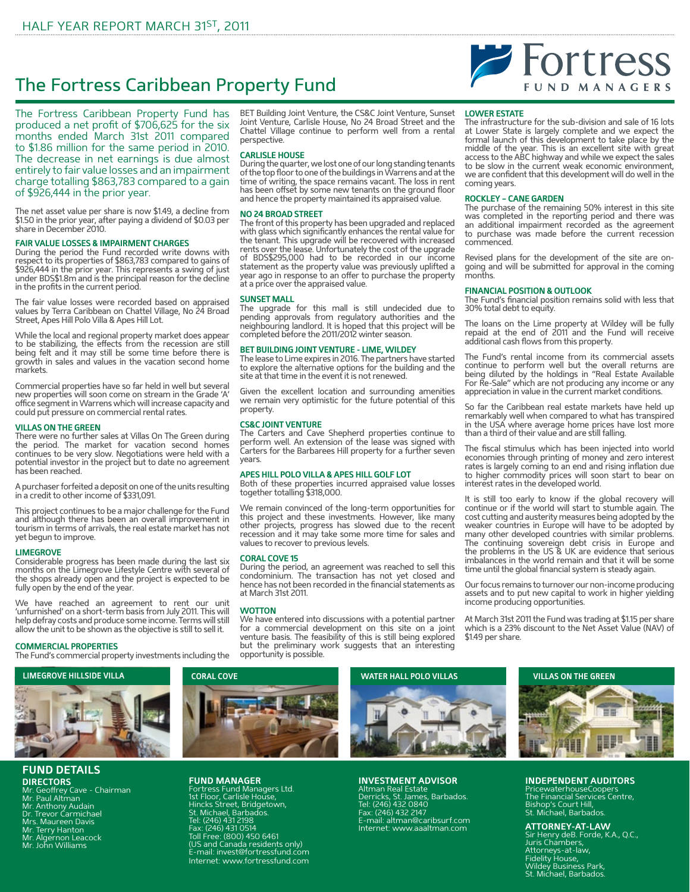## The Fortress Caribbean Property Fund

The Fortress Caribbean Property Fund has produced a net profit of \$706,625 for the six months ended March 31st 2011 compared to \$1.86 million for the same period in 2010. The decrease in net earnings is due almost entirely to fair value losses and an impairment charge totalling \$863,783 compared to a gain of \$926,444 in the prior year.

The net asset value per share is now \$1.49, a decline from \$1.50 in the prior year, after paying a dividend of \$0.03 per share in December 2010.

### **FAIR VALUE LOSSES & IMPAIRMENT CHARGES**

During the period the Fund recorded write downs with respect to its properties of \$863,783 compared to gains of \$926,444 in the prior year. This represents a swing of just under BDS\$1.8m and is the principal reason for the decline in the profits in the current period.

The fair value losses were recorded based on appraised values by Terra Caribbean on Chattel Village, No 24 Broad Street, Apes Hill Polo Villa & Apes Hill Lot.

While the local and regional property market does appear to be stabilizing, the effects from the recession are still being felt and it may still be some time before there is growth in sales and values in the vacation second home markets.

Commercial properties have so far held in well but several new properties will soon come on stream in the Grade 'A' office segment in Warrens which will increase capacity and could put pressure on commercial rental rates.

### **VILLAS ON THE GREEN**

There were no further sales at Villas On The Green during the period. The market for vacation second homes continues to be very slow. Negotiations were held with a potential investor in the project but to date no agreement has been reached.

A purchaser forfeited a deposit on one of the units resulting in a credit to other income of \$331,091.

This project continues to be a major challenge for the Fund and although there has been an overall improvement in tourism in terms of arrivals, the real estate market has not yet begun to improve.

### **LIMEGROVE**

Considerable progress has been made during the last six months on the Limegrove Lifestyle Centre with several of the shops already open and the project is expected to be fully open by the end of the year.

We have reached an agreement to rent our unit 'unfurnished' on a short-term basis from July 2011. This will help defray costs and produce some income. Terms will still allow the unit to be shown as the objective is still to sell it.

### **COMMERCIAL PROPERTIES**

The Fund's commercial property investments including the

### **FUND DETAILS DIRECTORS**

Mr. Geoffrey Cave - Chairman Mr. Paul Altman Mr. Anthony Audain Dr. Trevor Carmichael Mrs. Maureen Davis

- 
- Mr. Terry Hanton Mr. Algernon Leacock Mr. John Williams
- 
- 

BET Building Joint Venture, the CS&C Joint Venture, Sunset Joint Venture, Carlisle House, No 24 Broad Street and the Chattel Village continue to perform well from a rental perspective.

### **CARLISLE HOUSE**

During the quarter, we lost one of our long standing tenants of the top floor to one of the buildings in Warrens and at the time of writing, the space remains vacant. The loss in rent has been offset by some new tenants on the ground floor and hence the property maintained its appraised value.

### **NO 24 BROAD STREET**

The front of this property has been upgraded and replaced with glass which significantly enhances the rental value for the tenant. This upgrade will be recovered with increased rents over the lease. Unfortunately the cost of the upgrade of BDS\$295,000 had to be recorded in our income statement as the property value was previously uplifted a year ago in response to an offer to purchase the property at a price over the appraised value.

### **SUNSET MALL**

The upgrade for this mall is still undecided due to pending approvals from regulatory authorities and the neighbouring landlord. It is hoped that this project will be completed before the 2011/2012 winter season.

### **BET BUILDING JOINT VENTURE - LIME, WILDEY**

The lease to Lime expires in 2016. The partners have started to explore the alternative options for the building and the site at that time in the event it is not renewed.

Given the excellent location and surrounding amenities we remain very optimistic for the future potential of this property.

### **CS&C JOINT VENTURE**

The Carters and Cave Shepherd properties continue to perform well. An extension of the lease was signed with Carters for the Barbarees Hill property for a further seven years.

### **APES HILL POLO VILLA & APES HILL GOLF LOT**

Both of these properties incurred appraised value losses together totalling \$318,000.

We remain convinced of the long-term opportunities for this project and these investments. However, like many other projects, progress has slowed due to the recent recession and it may take some more time for sales and values to recover to previous levels.

### **CORAL COVE 15**

During the period, an agreement was reached to sell this condominium. The transaction has not yet closed and hence has not been recorded in the financial statements as at March 31st 2011.

### **WOTTON**

We have entered into discussions with a potential partner for a commercial development on this site on a joint venture basis. The feasibility of this is still being explored but the preliminary work suggests that an interesting opportunity is possible.



**INVESTMENT ADVISOR**<br>Altman Real Estate<br>Derricks, St. James, Barbados.<br>Tel: (246) 432 2147<br>Fax: (246) 432 2147 E-mail: altman@caribsurf.com Internet: www.aaaltman.com

## Fortress **FUND MANAGERS**

### **LOWER ESTATE**

The infrastructure for the sub-division and sale of 16 lots at Lower State is largely complete and we expect the formal launch of this development to take place by the middle of the year. This is an excellent site with great access to the ABC highway and while we expect the sales to be slow in the current weak economic environment, we are confident that this development will do well in the coming years.

### **ROCKLEY – CANE GARDEN**

The purchase of the remaining 50% interest in this site was completed in the reporting period and there was an additional impairment recorded as the agreement to purchase was made before the current recession commenced.

Revised plans for the development of the site are ongoing and will be submitted for approval in the coming months.

### **FINANCIAL POSITION & OUTLOOK**

The Fund's financial position remains solid with less that 30% total debt to equity.

The loans on the Lime property at Wildey will be fully repaid at the end of 2011 and the Fund will receive additional cash flows from this property.

The Fund's rental income from its commercial assets continue to perform well but the overall returns are being diluted by the holdings in "Real Estate Available For Re-Sale" which are not producing any income or any appreciation in value in the current market conditions.

So far the Caribbean real estate markets have held up remarkably well when compared to what has transpired in the USA where average home prices have lost more than a third of their value and are still falling.

The fiscal stimulus which has been injected into world economies through printing of money and zero interest rates is largely coming to an end and rising inflation due to higher commodity prices will soon start to bear on interest rates in the developed world.

It is still too early to know if the global recovery will continue or if the world will start to stumble again. The cost cutting and austerity measures being adopted by the weaker countries in Europe will have to be adopted by many other developed countries with similar problems. The continuing sovereign debt crisis in Europe and the problems in the US & UK are evidence that serious imbalances in the world remain and that it will be some time until the global financial system is steady again.

Our focus remains to turnover our non-income producing assets and to put new capital to work in higher yielding income producing opportunities.

At March 31st 2011 the Fund was trading at \$1.15 per share which is a 23% discount to the Net Asset Value (NAV) of \$1.49 per share.



### **INDEPENDENT AUDITORS**

PricewaterhouseCoopers The Financial Services Centre, Bishop's Court Hill, St. Michael, Barbados.

**ATTORNEY-AT-LAW** Sir Henry deB. Forde, K.A., Q.C., Juris Chambers, Attorneys-at-law, Fidelity House, Wildey Business Park, St. Michael, Barbados.



# **FUND MANAGER**

Fortress Fund Managers Ltd. 1st Floor, Carlisle House, Hincks Street, Bridgetown, St. Michael, Barbados. Tel: (246) 431 2198 Fax: (246) 431 0514 Toll Free: (800) 450 6461 (US and Canada residents only) E-mail: invest@fortressfund.com Internet: www.fortressfund.com